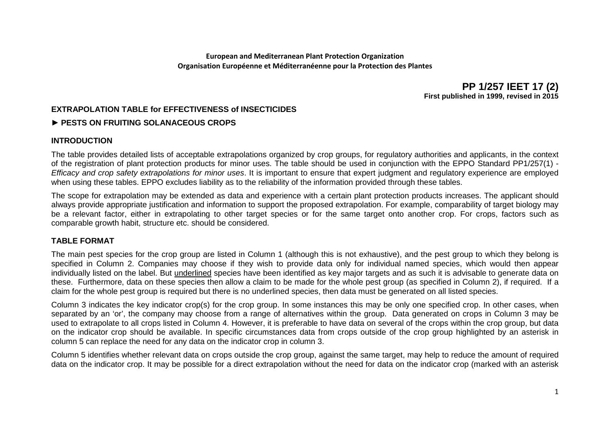**European and Mediterranean Plant Protection Organization Organisation Européenne et Méditerranéenne pour la Protection des Plantes**

> **PP 1/257 IEET 17 (2) First published in 1999, revised in 2015**

# **EXTRAPOLATION TABLE for EFFECTIVENESS of INSECTICIDES**

## **► PESTS ON FRUITING SOLANACEOUS CROPS**

#### **INTRODUCTION**

The table provides detailed lists of acceptable extrapolations organized by crop groups, for regulatory authorities and applicants, in the context of the registration of plant protection products for minor uses. The table should be used in conjunction with the EPPO Standard PP1/257(1) - *Efficacy and crop safety extrapolations for minor uses*. It is important to ensure that expert judgment and regulatory experience are employed when using these tables. EPPO excludes liability as to the reliability of the information provided through these tables.

The scope for extrapolation may be extended as data and experience with a certain plant protection products increases. The applicant should always provide appropriate justification and information to support the proposed extrapolation. For example, comparability of target biology may be a relevant factor, either in extrapolating to other target species or for the same target onto another crop. For crops, factors such as comparable growth habit, structure etc. should be considered.

#### **TABLE FORMAT**

The main pest species for the crop group are listed in Column 1 (although this is not exhaustive), and the pest group to which they belong is specified in Column 2. Companies may choose if they wish to provide data only for individual named species, which would then appear individually listed on the label. But underlined species have been identified as key major targets and as such it is advisable to generate data on these. Furthermore, data on these species then allow a claim to be made for the whole pest group (as specified in Column 2), if required. If a claim for the whole pest group is required but there is no underlined species, then data must be generated on all listed species.

Column 3 indicates the key indicator crop(s) for the crop group. In some instances this may be only one specified crop. In other cases, when separated by an 'or', the company may choose from a range of alternatives within the group. Data generated on crops in Column 3 may be used to extrapolate to all crops listed in Column 4. However, it is preferable to have data on several of the crops within the crop group, but data on the indicator crop should be available. In specific circumstances data from crops outside of the crop group highlighted by an asterisk in column 5 can replace the need for any data on the indicator crop in column 3.

Column 5 identifies whether relevant data on crops outside the crop group, against the same target, may help to reduce the amount of required data on the indicator crop. It may be possible for a direct extrapolation without the need for data on the indicator crop (marked with an asterisk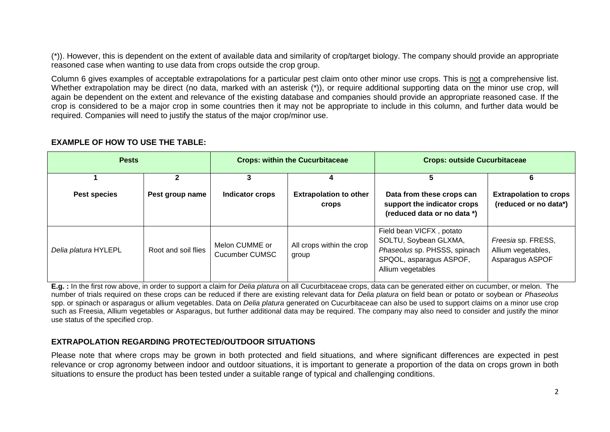(\*)). However, this is dependent on the extent of available data and similarity of crop/target biology. The company should provide an appropriate reasoned case when wanting to use data from crops outside the crop group.

Column 6 gives examples of acceptable extrapolations for a particular pest claim onto other minor use crops. This is not a comprehensive list. Whether extrapolation may be direct (no data, marked with an asterisk (\*)), or require additional supporting data on the minor use crop, will again be dependent on the extent and relevance of the existing database and companies should provide an appropriate reasoned case. If the crop is considered to be a major crop in some countries then it may not be appropriate to include in this column, and further data would be required. Companies will need to justify the status of the major crop/minor use.

| <b>Pests</b>         |                     | <b>Crops: within the Cucurbitaceae</b> |                                        | <b>Crops: outside Cucurbitaceae</b>                                                                                               |                                                             |
|----------------------|---------------------|----------------------------------------|----------------------------------------|-----------------------------------------------------------------------------------------------------------------------------------|-------------------------------------------------------------|
|                      |                     |                                        | 4                                      | 5                                                                                                                                 |                                                             |
| Pest species         | Pest group name     | <b>Indicator crops</b>                 | <b>Extrapolation to other</b><br>crops | Data from these crops can<br>support the indicator crops<br>(reduced data or no data *)                                           | <b>Extrapolation to crops</b><br>(reduced or no data*)      |
| Delia platura HYLEPL | Root and soil flies | Melon CUMME or<br>Cucumber CUMSC       | All crops within the crop<br>group     | Field bean VICFX, potato<br>SOLTU, Soybean GLXMA,<br>Phaseolus sp. PHSSS, spinach<br>SPQOL, asparagus ASPOF,<br>Allium vegetables | Freesia sp. FRESS,<br>Allium vegetables,<br>Asparagus ASPOF |

#### **EXAMPLE OF HOW TO USE THE TABLE:**

**E.g. :** In the first row above, in order to support a claim for *Delia platura* on all Cucurbitaceae crops, data can be generated either on cucumber, or melon. The number of trials required on these crops can be reduced if there are existing relevant data for *Delia platura* on field bean or potato or soybean or *Phaseolus* spp. or spinach or asparagus or allium vegetables. Data on *Delia platura* generated on Cucurbitaceae can also be used to support claims on a minor use crop such as Freesia, Allium vegetables or Asparagus, but further additional data may be required. The company may also need to consider and justify the minor use status of the specified crop.

## **EXTRAPOLATION REGARDING PROTECTED/OUTDOOR SITUATIONS**

Please note that where crops may be grown in both protected and field situations, and where significant differences are expected in pest relevance or crop agronomy between indoor and outdoor situations, it is important to generate a proportion of the data on crops grown in both situations to ensure the product has been tested under a suitable range of typical and challenging conditions.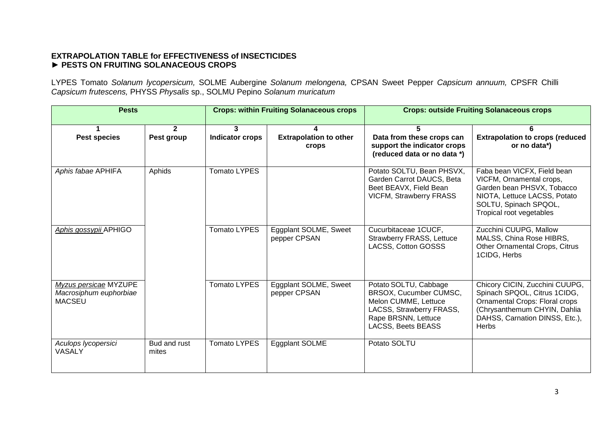## **EXTRAPOLATION TABLE for EFFECTIVENESS of INSECTICIDES ► PESTS ON FRUITING SOLANACEOUS CROPS**

LYPES Tomato *Solanum lycopersicum,* SOLME Aubergine *Solanum melongena,* CPSAN Sweet Pepper *Capsicum annuum,* CPSFR Chilli *Capsicum frutescens,* PHYSS *Physalis* sp., SOLMU Pepino *Solanum muricatum*

| <b>Pests</b>                                                     |                              | <b>Crops: within Fruiting Solanaceous crops</b> |                                        | <b>Crops: outside Fruiting Solanaceous crops</b>                                                                                                 |                                                                                                                                                                                    |
|------------------------------------------------------------------|------------------------------|-------------------------------------------------|----------------------------------------|--------------------------------------------------------------------------------------------------------------------------------------------------|------------------------------------------------------------------------------------------------------------------------------------------------------------------------------------|
| <b>Pest species</b>                                              | $\overline{2}$<br>Pest group | 3<br><b>Indicator crops</b>                     | <b>Extrapolation to other</b><br>crops | Data from these crops can<br>support the indicator crops<br>(reduced data or no data *)                                                          | <b>Extrapolation to crops (reduced</b><br>or no data*)                                                                                                                             |
| Aphis fabae APHIFA                                               | Aphids                       | <b>Tomato LYPES</b>                             |                                        | Potato SOLTU, Bean PHSVX,<br>Garden Carrot DAUCS, Beta<br>Beet BEAVX, Field Bean<br><b>VICFM, Strawberry FRASS</b>                               | Faba bean VICFX, Field bean<br>VICFM, Ornamental crops,<br>Garden bean PHSVX, Tobacco<br>NIOTA, Lettuce LACSS, Potato<br>SOLTU, Spinach SPQOL,<br>Tropical root vegetables         |
| Aphis gossypii APHIGO                                            |                              | <b>Tomato LYPES</b>                             | Eggplant SOLME, Sweet<br>pepper CPSAN  | Cucurbitaceae 1CUCF,<br>Strawberry FRASS, Lettuce<br>LACSS, Cotton GOSSS                                                                         | Zucchini CUUPG, Mallow<br>MALSS, China Rose HIBRS,<br>Other Ornamental Crops, Citrus<br>1CIDG, Herbs                                                                               |
| Myzus persicae MYZUPE<br>Macrosiphum euphorbiae<br><b>MACSEU</b> |                              | <b>Tomato LYPES</b>                             | Eggplant SOLME, Sweet<br>pepper CPSAN  | Potato SOLTU, Cabbage<br>BRSOX, Cucumber CUMSC,<br>Melon CUMME, Lettuce<br>LACSS, Strawberry FRASS,<br>Rape BRSNN, Lettuce<br>LACSS, Beets BEASS | Chicory CICIN, Zucchini CUUPG,<br>Spinach SPQOL, Citrus 1CIDG,<br>Ornamental Crops: Floral crops<br>(Chrysanthemum CHYIN, Dahlia<br>DAHSS, Carnation DINSS, Etc.),<br><b>Herbs</b> |
| Aculops lycopersici<br><b>VASALY</b>                             | Bud and rust<br>mites        | <b>Tomato LYPES</b>                             | Eggplant SOLME                         | Potato SOLTU                                                                                                                                     |                                                                                                                                                                                    |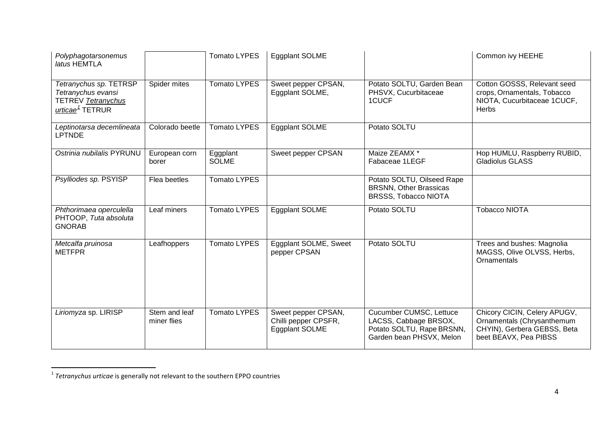<span id="page-3-0"></span>

| Polyphagotarsonemus<br>latus HEMTLA                                                               |                              | <b>Tomato LYPES</b>      | Eggplant SOLME                                                |                                                                                                           | Common ivy HEEHE                                                                                                   |
|---------------------------------------------------------------------------------------------------|------------------------------|--------------------------|---------------------------------------------------------------|-----------------------------------------------------------------------------------------------------------|--------------------------------------------------------------------------------------------------------------------|
| Tetranychus sp. TETRSP<br>Tetranychus evansi<br>TETREV Tetranychus<br>urticae <sup>1</sup> TETRUR | Spider mites                 | <b>Tomato LYPES</b>      | Sweet pepper CPSAN,<br>Eggplant SOLME,                        | Potato SOLTU, Garden Bean<br>PHSVX, Cucurbitaceae<br>1CUCF                                                | Cotton GOSSS, Relevant seed<br>crops, Ornamentals, Tobacco<br>NIOTA, Cucurbitaceae 1CUCF,<br><b>Herbs</b>          |
| Leptinotarsa decemlineata<br><b>LPTNDE</b>                                                        | Colorado beetle              | <b>Tomato LYPES</b>      | Eggplant SOLME                                                | Potato SOLTU                                                                                              |                                                                                                                    |
| Ostrinia nubilalis PYRUNU                                                                         | European corn<br>borer       | Eggplant<br><b>SOLME</b> | Sweet pepper CPSAN                                            | Maize ZEAMX *<br>Fabaceae 1LEGF                                                                           | Hop HUMLU, Raspberry RUBID,<br><b>Gladiolus GLASS</b>                                                              |
| Psylliodes sp. PSYISP                                                                             | Flea beetles                 | <b>Tomato LYPES</b>      |                                                               | Potato SOLTU, Oilseed Rape<br><b>BRSNN, Other Brassicas</b><br><b>BRSSS, Tobacco NIOTA</b>                |                                                                                                                    |
| Phthorimaea operculella<br>PHTOOP, Tuta absoluta<br><b>GNORAB</b>                                 | Leaf miners                  | <b>Tomato LYPES</b>      | <b>Eggplant SOLME</b>                                         | Potato SOLTU                                                                                              | <b>Tobacco NIOTA</b>                                                                                               |
| Metcalfa pruinosa<br><b>METFPR</b>                                                                | Leafhoppers                  | <b>Tomato LYPES</b>      | Eggplant SOLME, Sweet<br>pepper CPSAN                         | Potato SOLTU                                                                                              | Trees and bushes: Magnolia<br>MAGSS, Olive OLVSS, Herbs,<br>Ornamentals                                            |
| Liriomyza sp. LIRISP                                                                              | Stem and leaf<br>miner flies | <b>Tomato LYPES</b>      | Sweet pepper CPSAN,<br>Chilli pepper CPSFR,<br>Eggplant SOLME | Cucumber CUMSC, Lettuce<br>LACSS, Cabbage BRSOX,<br>Potato SOLTU, Rape BRSNN,<br>Garden bean PHSVX, Melon | Chicory CICIN, Celery APUGV,<br>Ornamentals (Chrysanthemum<br>CHYIN), Gerbera GEBSS, Beta<br>beet BEAVX, Pea PIBSS |

 $\overline{a}$ 

<sup>1</sup> *Tetranychus urticae* is generally not relevant to the southern EPPO countries